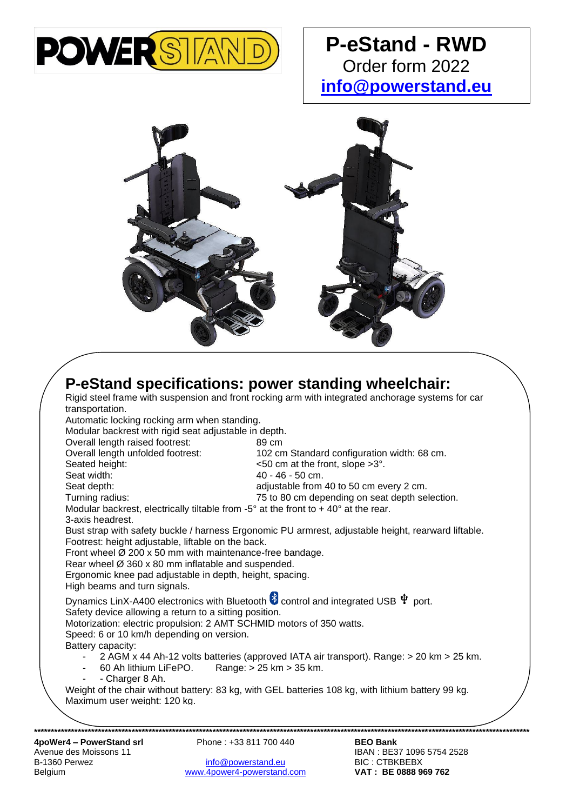

## **P-eStand - RWD** Order form 2022 **[info@powerstand.eu](mailto:info@powerstand.eu)**



|  |                                                                                                                                                                                                                                   | P-eStand specifications: power standing wheelchair:                                     |  |  |  |  |
|--|-----------------------------------------------------------------------------------------------------------------------------------------------------------------------------------------------------------------------------------|-----------------------------------------------------------------------------------------|--|--|--|--|
|  | Rigid steel frame with suspension and front rocking arm with integrated anchorage systems for car<br>transportation.<br>Automatic locking rocking arm when standing.<br>Modular backrest with rigid seat adjustable in depth.     |                                                                                         |  |  |  |  |
|  |                                                                                                                                                                                                                                   |                                                                                         |  |  |  |  |
|  |                                                                                                                                                                                                                                   |                                                                                         |  |  |  |  |
|  |                                                                                                                                                                                                                                   |                                                                                         |  |  |  |  |
|  | Overall length raised footrest:                                                                                                                                                                                                   | 89 cm                                                                                   |  |  |  |  |
|  | Overall length unfolded footrest:                                                                                                                                                                                                 | 102 cm Standard configuration width: 68 cm.                                             |  |  |  |  |
|  | Seated height:                                                                                                                                                                                                                    | $<50$ cm at the front, slope $>3^{\circ}$ .                                             |  |  |  |  |
|  | Seat width:                                                                                                                                                                                                                       | 40 - 46 - 50 cm.                                                                        |  |  |  |  |
|  | Seat depth:                                                                                                                                                                                                                       | adjustable from 40 to 50 cm every 2 cm.                                                 |  |  |  |  |
|  | Turning radius:                                                                                                                                                                                                                   | 75 to 80 cm depending on seat depth selection.                                          |  |  |  |  |
|  | Modular backrest, electrically tiltable from -5 $^{\circ}$ at the front to +40 $^{\circ}$ at the rear.                                                                                                                            |                                                                                         |  |  |  |  |
|  | 3-axis headrest.                                                                                                                                                                                                                  |                                                                                         |  |  |  |  |
|  | Bust strap with safety buckle / harness Ergonomic PU armrest, adjustable height, rearward liftable.<br>Footrest: height adjustable, liftable on the back.<br>Front wheel $\varnothing$ 200 x 50 mm with maintenance-free bandage. |                                                                                         |  |  |  |  |
|  |                                                                                                                                                                                                                                   |                                                                                         |  |  |  |  |
|  |                                                                                                                                                                                                                                   |                                                                                         |  |  |  |  |
|  | Rear wheel Ø 360 x 80 mm inflatable and suspended.                                                                                                                                                                                |                                                                                         |  |  |  |  |
|  | Ergonomic knee pad adjustable in depth, height, spacing.                                                                                                                                                                          |                                                                                         |  |  |  |  |
|  | High beams and turn signals.                                                                                                                                                                                                      |                                                                                         |  |  |  |  |
|  | Dynamics LinX-A400 electronics with Bluetooth $\ddot{\bullet}$ control and integrated USB $\dot{\Psi}$ port.<br>Safety device allowing a return to a sitting position.                                                            |                                                                                         |  |  |  |  |
|  |                                                                                                                                                                                                                                   |                                                                                         |  |  |  |  |
|  | Motorization: electric propulsion: 2 AMT SCHMID motors of 350 watts.                                                                                                                                                              |                                                                                         |  |  |  |  |
|  | Speed: 6 or 10 km/h depending on version.                                                                                                                                                                                         |                                                                                         |  |  |  |  |
|  | Battery capacity:                                                                                                                                                                                                                 |                                                                                         |  |  |  |  |
|  |                                                                                                                                                                                                                                   | 2 AGM x 44 Ah-12 volts batteries (approved IATA air transport). Range: > 20 km > 25 km. |  |  |  |  |
|  | 60 Ah lithium LiFePO.                                                                                                                                                                                                             | Range: $> 25 \text{ km} > 35 \text{ km}$ .                                              |  |  |  |  |
|  | - Charger 8 Ah.<br>٠                                                                                                                                                                                                              |                                                                                         |  |  |  |  |
|  | Weight of the chair without battery: 83 kg, with GEL batteries 108 kg, with lithium battery 99 kg.                                                                                                                                |                                                                                         |  |  |  |  |
|  | Maximum user weight: 120 kg.                                                                                                                                                                                                      |                                                                                         |  |  |  |  |
|  |                                                                                                                                                                                                                                   |                                                                                         |  |  |  |  |
|  |                                                                                                                                                                                                                                   |                                                                                         |  |  |  |  |
|  | Analalard DawarCtandari                                                                                                                                                                                                           | Dhone: 02.044.700.440<br><b>DEA Dank</b>                                                |  |  |  |  |

B-1360 Perwez **[info@powerstand.eu](mailto:info@powerstand.eu) BIC : CTBKBEBX**<br>Belgium **info@powerstand.com** BIC : CTBKBEBX<br>**VAT : BE 0888 969 762**  $www.4power4-powerstand.com$ 

IBAN : BE37 1096 5754 2528